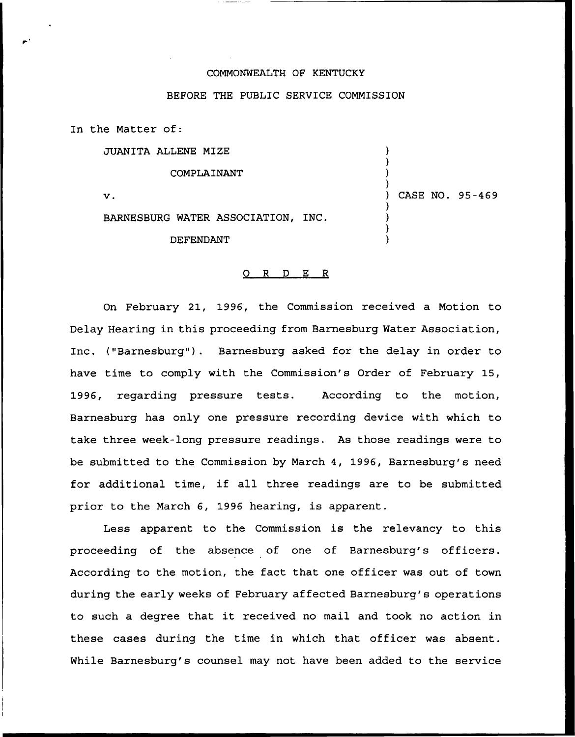## COMMONWEALTH OF KENTUCKY

## BEFORE THE PUBLIC SERVICE COMMISSION

In the Matter of:

JUANITA ALLENE MIZE

COMPLAINANT

 $\mathbf{v}$ .

) CASE NO. 95-469

) ) ) )

) ) ) )

BARNESBURG WATER ASSOCIATION, INC.

DEFENDANT

## 0 <sup>R</sup> <sup>D</sup> E R

On February 21, 1996, the Commission received a Motion to Delay Hearing in this proceeding from Barnesburg Water Association, Inc. ("Barnesburg"). Barnesburg asked for the delay in order to have time to comply with the Commission's Order of February 15, 1996, regarding pressure tests. According to the motion, Barnesburg has only one pressure recording device with which to take three week-long pressure readings. As those readings were to be submitted to the Commission by March 4, 1996, Baxnesburg's need for additional time, if all three readings are to be submitted prior to the March 6, 1996 hearing, is apparent.

Less apparent to the Commission is the relevancy to this proceeding of the absence of one of Barnesburg's officers. According to the motion, the fact that one officer was out of town during the early weeks of February affected Barnesburg's operations to such <sup>a</sup> degree that it received no mail and took no action in these cases during the time in which that officer was absent. While Barnesburg's counsel may not have been added to the service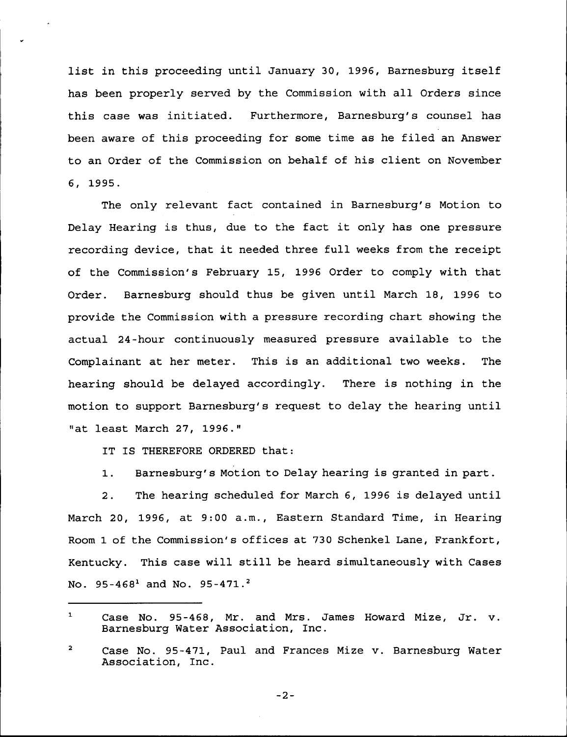list in this proceeding until January 30, 1996, Barnesburg itself has been properly served by the Commission with all Orders since this case was initiated. Furthermore, Barnesburg's counsel has been aware of this proceeding for some time as he filed an Answer to an Order of the Commission on behalf of his client on November 6, 1995.

The only relevant fact contained in Barnesburg's Motion to Delay Hearing is thus, due to the fact it only has one pressure recording device, that it needed three full weeks from the receipt of the Commission's February 15, 1996 Order to comply with that Oxdex. Barnesburg should thus be given until March 18, 1996 to provide the Commission with a pressure recording chart showing the actual 24-hour continuously measured pressure available to the Complainant at her meter. This is an additional two weeks. The hearing should be delayed accordingly. There is nothing in the motion to support Barnesburg's request to delay the hearing until "at least March 27, 1996."

IT IS THEREFORE ORDERED that:

1. Barnesburg's Motion to Delay hearing is granted in part.

2. The hearing scheduled for March 6, 1996 is delayed until March 20, 1996, at 9:00 a.m., Eastern Standard Time, in Hearing Room 1 of the Commission' offices at 730 Schenkel Lane, Frankfort, Kentucky. This case will still be heard simultaneously with Cases No. 95-468<sup>1</sup> and No. 95-471.<sup>2</sup>

 $-2-$ 

 $\mathbf 1$ Case No. 95-468, Mr. and Mrs. James Howard Mize, Jr. v. Barnesburg Water Association, Inc.

 $\overline{\mathbf{2}}$ Case No. 95-471, Paul and Frances Mize v. Barnesburg Water Association, Inc.